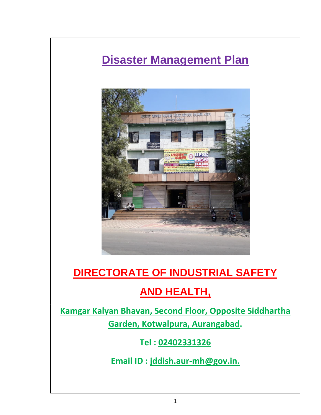# **Disaster Management Plan**



# **DIRECTORATE OF INDUSTRIAL SAFETY**

# **AND HEALTH,**

**Kamgar Kalyan Bhavan, Second Floor, Opposite Siddhartha Garden, Kotwalpura, Aurangabad.**

**Tel : 02402331326**

**Email ID : jddish.aur-mh@gov.in.**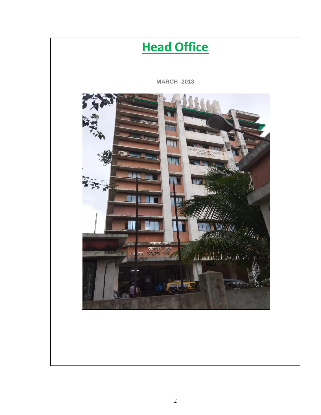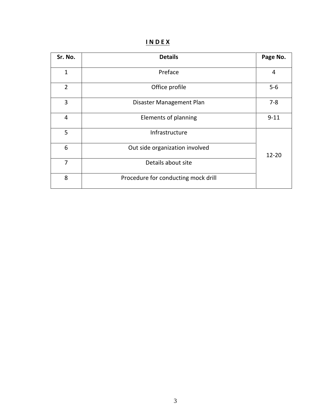# **I N D E X**

| Sr. No.        | <b>Details</b>                      | Page No.  |  |
|----------------|-------------------------------------|-----------|--|
| $\mathbf{1}$   | Preface                             | 4         |  |
| $\overline{2}$ | Office profile                      | $5 - 6$   |  |
| 3              | Disaster Management Plan            | $7 - 8$   |  |
| $\overline{4}$ | Elements of planning                | $9 - 11$  |  |
| 5              | Infrastructure                      |           |  |
| 6              | Out side organization involved      | $12 - 20$ |  |
| $\overline{7}$ | Details about site                  |           |  |
| 8              | Procedure for conducting mock drill |           |  |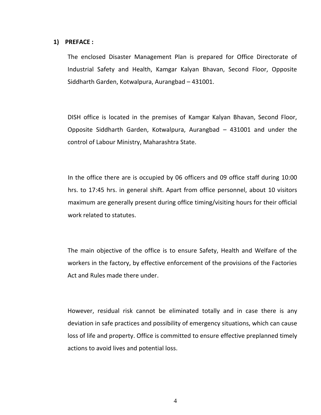### **1) PREFACE :**

The enclosed Disaster Management Plan is prepared for Office Directorate of Industrial Safety and Health, Kamgar Kalyan Bhavan, Second Floor, Opposite Siddharth Garden, Kotwalpura, Aurangbad – 431001.

DISH office is located in the premises of Kamgar Kalyan Bhavan, Second Floor, Opposite Siddharth Garden, Kotwalpura, Aurangbad – 431001 and under the control of Labour Ministry, Maharashtra State.

In the office there are is occupied by 06 officers and 09 office staff during 10:00 hrs. to 17:45 hrs. in general shift. Apart from office personnel, about 10 visitors maximum are generally present during office timing/visiting hours for their official work related to statutes.

The main objective of the office is to ensure Safety, Health and Welfare of the workers in the factory, by effective enforcement of the provisions of the Factories Act and Rules made there under.

However, residual risk cannot be eliminated totally and in case there is any deviation in safe practices and possibility of emergency situations, which can cause loss of life and property. Office is committed to ensure effective preplanned timely actions to avoid lives and potential loss.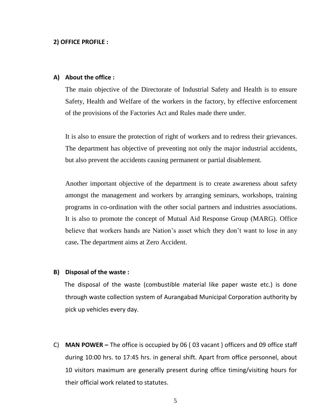### **2) OFFICE PROFILE :**

### **A) About the office :**

The main objective of the Directorate of Industrial Safety and Health is to ensure Safety, Health and Welfare of the workers in the factory, by effective enforcement of the provisions of the Factories Act and Rules made there under.

It is also to ensure the protection of right of workers and to redress their grievances. The department has objective of preventing not only the major industrial accidents, but also prevent the accidents causing permanent or partial disablement.

Another important objective of the department is to create awareness about safety amongst the management and workers by arranging seminars, workshops, training programs in co-ordination with the other social partners and industries associations. It is also to promote the concept of Mutual Aid Response Group (MARG). Office believe that workers hands are Nation's asset which they don't want to lose in any case**.** The department aims at Zero Accident.

#### **B) Disposal of the waste :**

The disposal of the waste (combustible material like paper waste etc.) is done through waste collection system of Aurangabad Municipal Corporation authority by pick up vehicles every day.

C) **MAN POWER –** The office is occupied by 06 ( 03 vacant ) officers and 09 office staff during 10:00 hrs. to 17:45 hrs. in general shift. Apart from office personnel, about 10 visitors maximum are generally present during office timing/visiting hours for their official work related to statutes.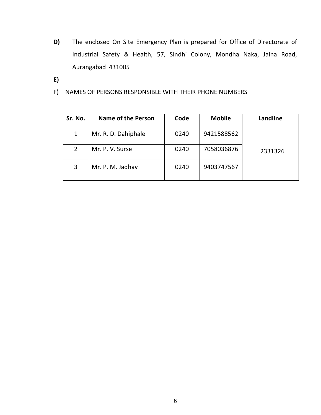- **D)** The enclosed On Site Emergency Plan is prepared for Office of Directorate of Industrial Safety & Health, 57, Sindhi Colony, Mondha Naka, Jalna Road, Aurangabad 431005
- **E)**
- F) NAMES OF PERSONS RESPONSIBLE WITH THEIR PHONE NUMBERS

| Sr. No.      | Name of the Person  | Code | <b>Mobile</b> | Landline |
|--------------|---------------------|------|---------------|----------|
|              | Mr. R. D. Dahiphale | 0240 | 9421588562    |          |
| $\mathbf{2}$ | Mr. P. V. Surse     | 0240 | 7058036876    | 2331326  |
| 3            | Mr. P. M. Jadhav    | 0240 | 9403747567    |          |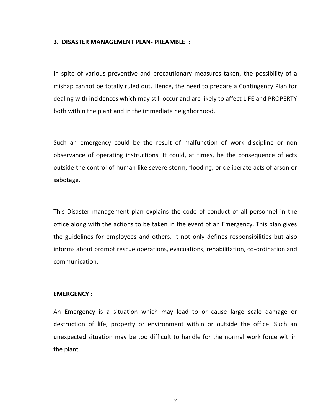#### **3. DISASTER MANAGEMENT PLAN- PREAMBLE :**

In spite of various preventive and precautionary measures taken, the possibility of a mishap cannot be totally ruled out. Hence, the need to prepare a Contingency Plan for dealing with incidences which may still occur and are likely to affect LIFE and PROPERTY both within the plant and in the immediate neighborhood.

Such an emergency could be the result of malfunction of work discipline or non observance of operating instructions. It could, at times, be the consequence of acts outside the control of human like severe storm, flooding, or deliberate acts of arson or sabotage.

This Disaster management plan explains the code of conduct of all personnel in the office along with the actions to be taken in the event of an Emergency. This plan gives the guidelines for employees and others. It not only defines responsibilities but also informs about prompt rescue operations, evacuations, rehabilitation, co-ordination and communication.

#### **EMERGENCY :**

An Emergency is a situation which may lead to or cause large scale damage or destruction of life, property or environment within or outside the office. Such an unexpected situation may be too difficult to handle for the normal work force within the plant.

7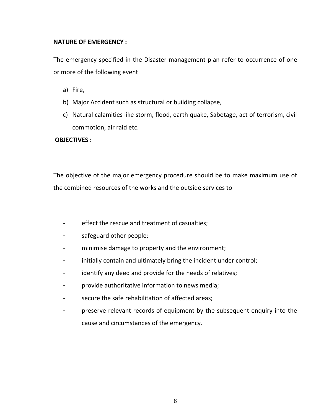### **NATURE OF EMERGENCY :**

The emergency specified in the Disaster management plan refer to occurrence of one or more of the following event

- a) Fire,
- b) Major Accident such as structural or building collapse,
- c) Natural calamities like storm, flood, earth quake, Sabotage, act of terrorism, civil commotion, air raid etc.

## **OBJECTIVES :**

The objective of the major emergency procedure should be to make maximum use of the combined resources of the works and the outside services to

- effect the rescue and treatment of casualties;
- safeguard other people;
- minimise damage to property and the environment;
- initially contain and ultimately bring the incident under control;
- identify any deed and provide for the needs of relatives;
- provide authoritative information to news media;
- secure the safe rehabilitation of affected areas;
- preserve relevant records of equipment by the subsequent enquiry into the cause and circumstances of the emergency.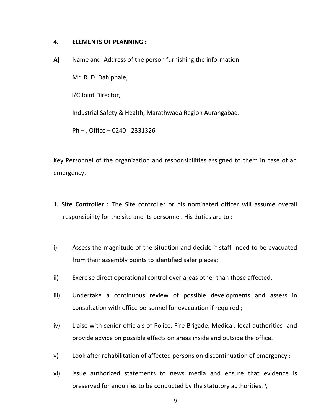### **4. ELEMENTS OF PLANNING :**

**A)** Name and Address of the person furnishing the information

Mr. R. D. Dahiphale,

I/C Joint Director,

Industrial Safety & Health, Marathwada Region Aurangabad.

Ph – , Office – 0240 - 2331326

Key Personnel of the organization and responsibilities assigned to them in case of an emergency.

- **1. Site Controller :** The Site controller or his nominated officer will assume overall responsibility for the site and its personnel. His duties are to :
- i) Assess the magnitude of the situation and decide if staff need to be evacuated from their assembly points to identified safer places:
- ii) Exercise direct operational control over areas other than those affected;
- iii) Undertake a continuous review of possible developments and assess in consultation with office personnel for evacuation if required ;
- iv) Liaise with senior officials of Police, Fire Brigade, Medical, local authorities and provide advice on possible effects on areas inside and outside the office.
- v) Look after rehabilitation of affected persons on discontinuation of emergency :
- vi) issue authorized statements to news media and ensure that evidence is preserved for enquiries to be conducted by the statutory authorities. \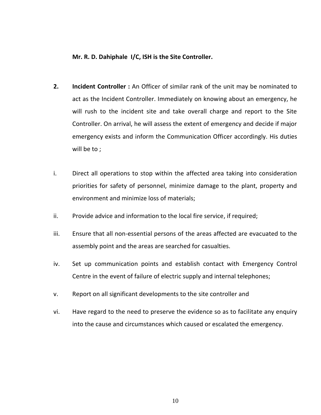### **Mr. R. D. Dahiphale I/C, ISH is the Site Controller.**

- **2. Incident Controller :** An Officer of similar rank of the unit may be nominated to act as the Incident Controller. Immediately on knowing about an emergency, he will rush to the incident site and take overall charge and report to the Site Controller. On arrival, he will assess the extent of emergency and decide if major emergency exists and inform the Communication Officer accordingly. His duties will be to ;
- i. Direct all operations to stop within the affected area taking into consideration priorities for safety of personnel, minimize damage to the plant, property and environment and minimize loss of materials;
- ii. Provide advice and information to the local fire service, if required;
- iii. Ensure that all non-essential persons of the areas affected are evacuated to the assembly point and the areas are searched for casualties.
- iv. Set up communication points and establish contact with Emergency Control Centre in the event of failure of electric supply and internal telephones;
- v. Report on all significant developments to the site controller and
- vi. Have regard to the need to preserve the evidence so as to facilitate any enquiry into the cause and circumstances which caused or escalated the emergency.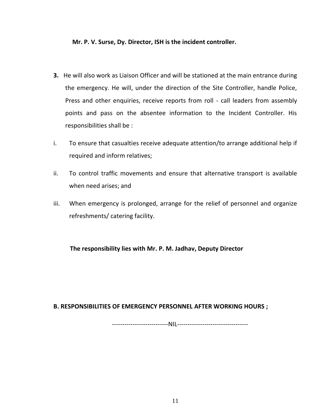### **Mr. P. V. Surse, Dy. Director, ISH is the incident controller.**

- **3.** He will also work as Liaison Officer and will be stationed at the main entrance during the emergency. He will, under the direction of the Site Controller, handle Police, Press and other enquiries, receive reports from roll - call leaders from assembly points and pass on the absentee information to the Incident Controller. His responsibilities shall be :
- i. To ensure that casualties receive adequate attention/to arrange additional help if required and inform relatives;
- ii. To control traffic movements and ensure that alternative transport is available when need arises; and
- iii. When emergency is prolonged, arrange for the relief of personnel and organize refreshments/ catering facility.

**The responsibility lies with Mr. P. M. Jadhav, Deputy Director**

### **B. RESPONSIBILITIES OF EMERGENCY PERSONNEL AFTER WORKING HOURS ;**

---------------------------NIL----------------------------------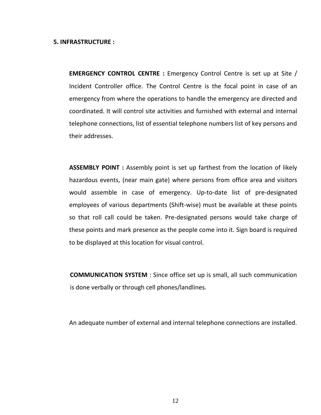#### **5. INFRASTRUCTURE :**

**EMERGENCY CONTROL CENTRE :** Emergency Control Centre is set up at Site / Incident Controller office. The Control Centre is the focal point in case of an emergency from where the operations to handle the emergency are directed and coordinated. It will control site activities and furnished with external and internal telephone connections, list of essential telephone numbers list of key persons and their addresses.

**ASSEMBLY POINT :** Assembly point is set up farthest from the location of likely hazardous events, (near main gate) where persons from office area and visitors would assemble in case of emergency. Up-to-date list of pre-designated employees of various departments (Shift-wise) must be available at these points so that roll call could be taken. Pre-designated persons would take charge of these points and mark presence as the people come into it. Sign board is required to be displayed at this location for visual control.

**COMMUNICATION SYSTEM** : Since office set up is small, all such communication is done verbally or through cell phones/landlines.

An adequate number of external and internal telephone connections are installed.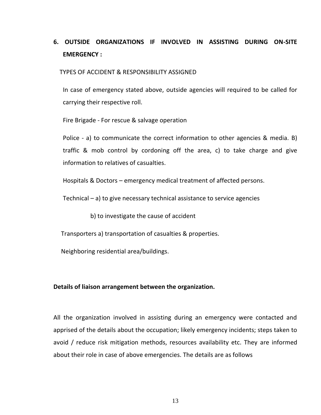# **6. OUTSIDE ORGANIZATIONS IF INVOLVED IN ASSISTING DURING ON-SITE EMERGENCY :**

TYPES OF ACCIDENT & RESPONSIBILITY ASSIGNED

In case of emergency stated above, outside agencies will required to be called for carrying their respective roll.

Fire Brigade - For rescue & salvage operation

Police - a) to communicate the correct information to other agencies & media. B) traffic & mob control by cordoning off the area, c) to take charge and give information to relatives of casualties.

Hospitals & Doctors – emergency medical treatment of affected persons.

Technical – a) to give necessary technical assistance to service agencies

b) to investigate the cause of accident

Transporters a) transportation of casualties & properties.

Neighboring residential area/buildings.

#### **Details of liaison arrangement between the organization.**

All the organization involved in assisting during an emergency were contacted and apprised of the details about the occupation; likely emergency incidents; steps taken to avoid / reduce risk mitigation methods, resources availability etc. They are informed about their role in case of above emergencies. The details are as follows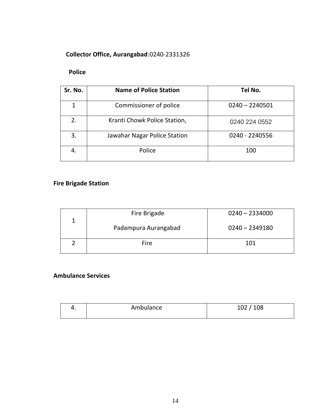# **Collector Office, Aurangabad**:0240-2331326

# **Police**

| Sr. No. | <b>Name of Police Station</b> | Tel No.          |
|---------|-------------------------------|------------------|
|         | Commissioner of police        | $0240 - 2240501$ |
| 2.      | Kranti Chowk Police Station,  | 0240 224 0552    |
| 3.      | Jawahar Nagar Police Station  | 0240 - 2240556   |
| 4.      | Police                        | 100              |

# **Fire Brigade Station**

|  | Fire Brigade         | $0240 - 2334000$ |
|--|----------------------|------------------|
|  | Padampura Aurangabad | $0240 - 2349180$ |
|  | Fire                 | 101              |

# **Ambulance Services**

| Ambulance | 102 / 108 |
|-----------|-----------|
|           |           |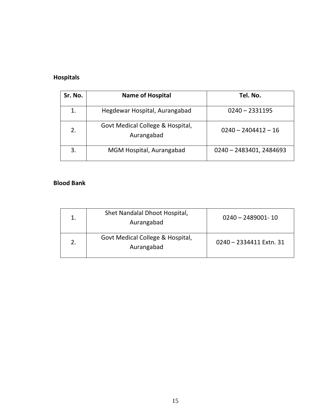# **Hospitals**

| Sr. No. | <b>Name of Hospital</b>                        | Tel. No.                |
|---------|------------------------------------------------|-------------------------|
|         | Hegdewar Hospital, Aurangabad                  | $0240 - 2331195$        |
| 2.      | Govt Medical College & Hospital,<br>Aurangabad | $0240 - 2404412 - 16$   |
| 3.      | MGM Hospital, Aurangabad                       | 0240 - 2483401, 2484693 |

# **Blood Bank**

| Shet Nandalal Dhoot Hospital,<br>Aurangabad    | $0240 - 2489001 - 10$   |
|------------------------------------------------|-------------------------|
| Govt Medical College & Hospital,<br>Aurangabad | 0240 - 2334411 Extn. 31 |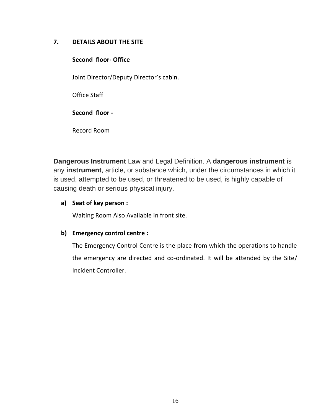## **7. DETAILS ABOUT THE SITE**

# **Second floor- Office**

Joint Director/Deputy Director's cabin.

Office Staff

# **Second floor -**

Record Room

**Dangerous Instrument** Law and Legal Definition. A **dangerous instrument** is any **instrument**, article, or substance which, under the circumstances in which it is used, attempted to be used, or threatened to be used, is highly capable of causing death or serious physical injury.

# **a) Seat of key person :**

Waiting Room Also Available in front site.

# **b) Emergency control centre :**

The Emergency Control Centre is the place from which the operations to handle the emergency are directed and co-ordinated. It will be attended by the Site/ Incident Controller.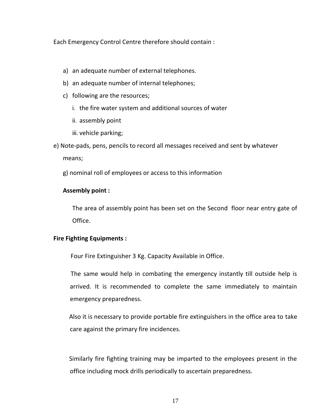Each Emergency Control Centre therefore should contain :

- a) an adequate number of external telephones.
- b) an adequate number of internal telephones;
- c) following are the resources;
	- i. the fire water system and additional sources of water
	- ii. assembly point
	- iii. vehicle parking;
- e) Note-pads, pens, pencils to record all messages received and sent by whatever means;

g) nominal roll of employees or access to this information

## **Assembly point :**

The area of assembly point has been set on the Second floor near entry gate of Office.

## **Fire Fighting Equipments :**

Four Fire Extinguisher 3 Kg. Capacity Available in Office.

The same would help in combating the emergency instantly till outside help is arrived. It is recommended to complete the same immediately to maintain emergency preparedness.

Also it is necessary to provide portable fire extinguishers in the office area to take care against the primary fire incidences.

Similarly fire fighting training may be imparted to the employees present in the office including mock drills periodically to ascertain preparedness.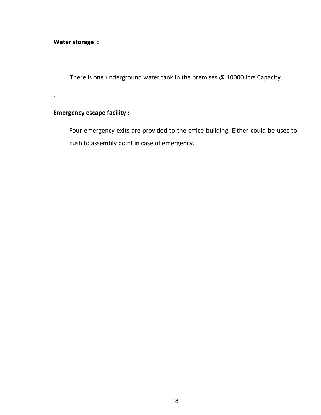**Water storage :**

.

There is one underground water tank in the premises @ 10000 Ltrs Capacity.

### **Emergency escape facility :**

Four emergency exits are provided to the office building. Either could be usec to rush to assembly point in case of emergency.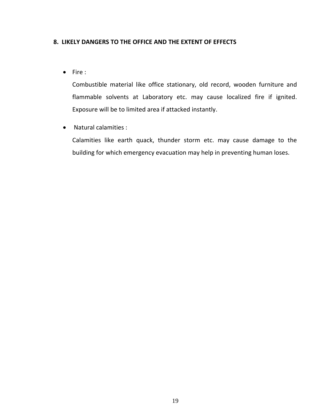### **8. LIKELY DANGERS TO THE OFFICE AND THE EXTENT OF EFFECTS**

 $\bullet$  Fire :

Combustible material like office stationary, old record, wooden furniture and flammable solvents at Laboratory etc. may cause localized fire if ignited. Exposure will be to limited area if attacked instantly.

Natural calamities :

Calamities like earth quack, thunder storm etc. may cause damage to the building for which emergency evacuation may help in preventing human loses.